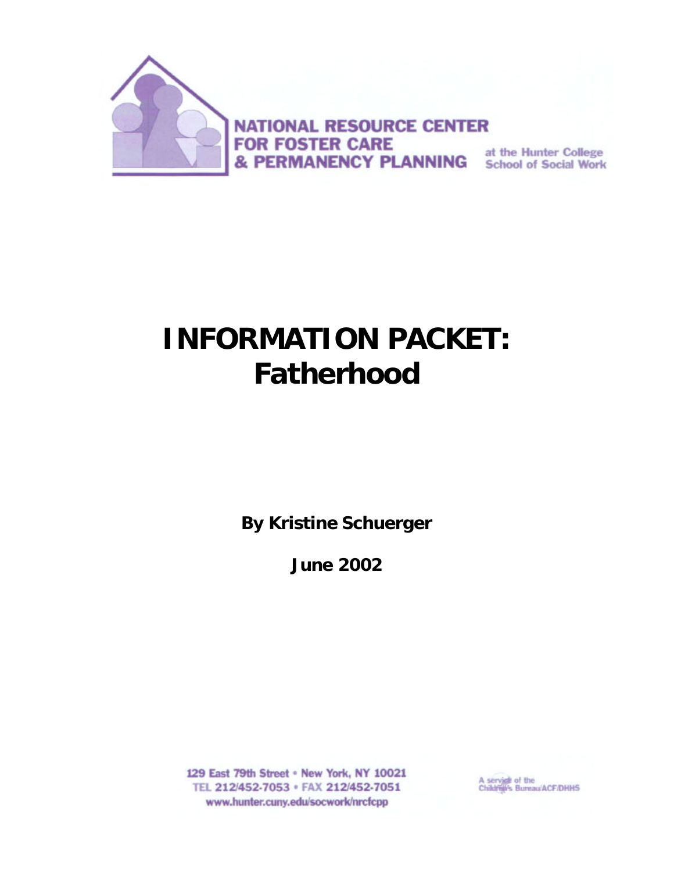

**NATIONAL RESOURCE CENTER FOR FOSTER CARE & PERMANENCY PLANNING** at the Hunter College

# **INFORMATION PACKET:** *Fatherhood*

**By Kristine Schuerger**

**June 2002**

129 East 79th Street . New York, NY 10021 TEL 212/452-7053 · FAX 212/452-7051 www.hunter.cuny.edu/socwork/nrcfcpp

A service of the<br>Children's Bureau/ACF/DHHS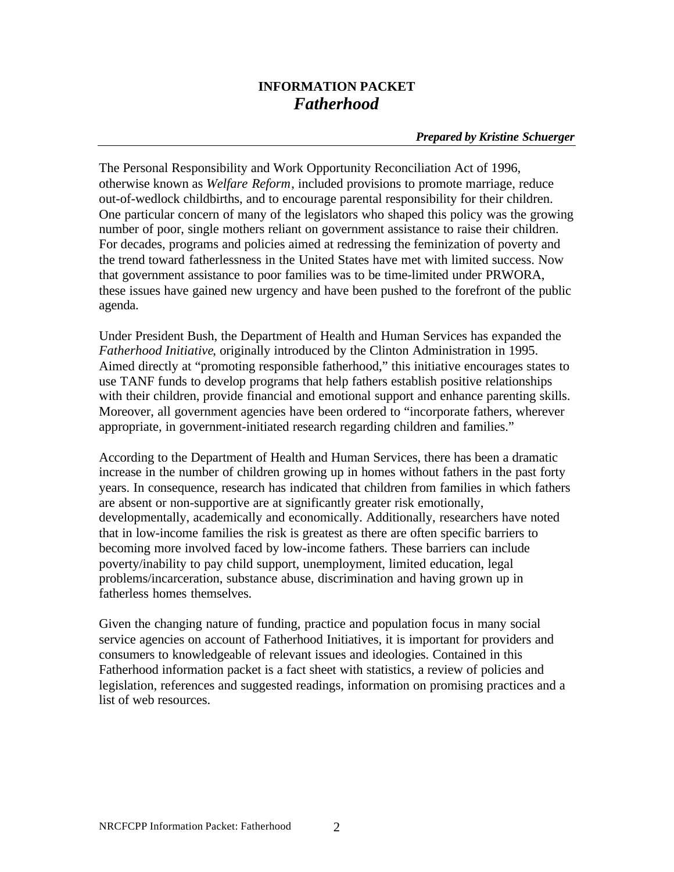# **INFORMATION PACKET** *Fatherhood*

#### *Prepared by Kristine Schuerger*

The Personal Responsibility and Work Opportunity Reconciliation Act of 1996, otherwise known as *Welfare Reform*, included provisions to promote marriage, reduce out-of-wedlock childbirths, and to encourage parental responsibility for their children. One particular concern of many of the legislators who shaped this policy was the growing number of poor, single mothers reliant on government assistance to raise their children. For decades, programs and policies aimed at redressing the feminization of poverty and the trend toward fatherlessness in the United States have met with limited success. Now that government assistance to poor families was to be time-limited under PRWORA, these issues have gained new urgency and have been pushed to the forefront of the public agenda.

Under President Bush, the Department of Health and Human Services has expanded the *Fatherhood Initiative*, originally introduced by the Clinton Administration in 1995. Aimed directly at "promoting responsible fatherhood," this initiative encourages states to use TANF funds to develop programs that help fathers establish positive relationships with their children, provide financial and emotional support and enhance parenting skills. Moreover, all government agencies have been ordered to "incorporate fathers, wherever appropriate, in government-initiated research regarding children and families."

According to the Department of Health and Human Services, there has been a dramatic increase in the number of children growing up in homes without fathers in the past forty years. In consequence, research has indicated that children from families in which fathers are absent or non-supportive are at significantly greater risk emotionally, developmentally, academically and economically. Additionally, researchers have noted that in low-income families the risk is greatest as there are often specific barriers to becoming more involved faced by low-income fathers. These barriers can include poverty/inability to pay child support, unemployment, limited education, legal problems/incarceration, substance abuse, discrimination and having grown up in fatherless homes themselves.

Given the changing nature of funding, practice and population focus in many social service agencies on account of Fatherhood Initiatives, it is important for providers and consumers to knowledgeable of relevant issues and ideologies. Contained in this Fatherhood information packet is a fact sheet with statistics, a review of policies and legislation, references and suggested readings, information on promising practices and a list of web resources.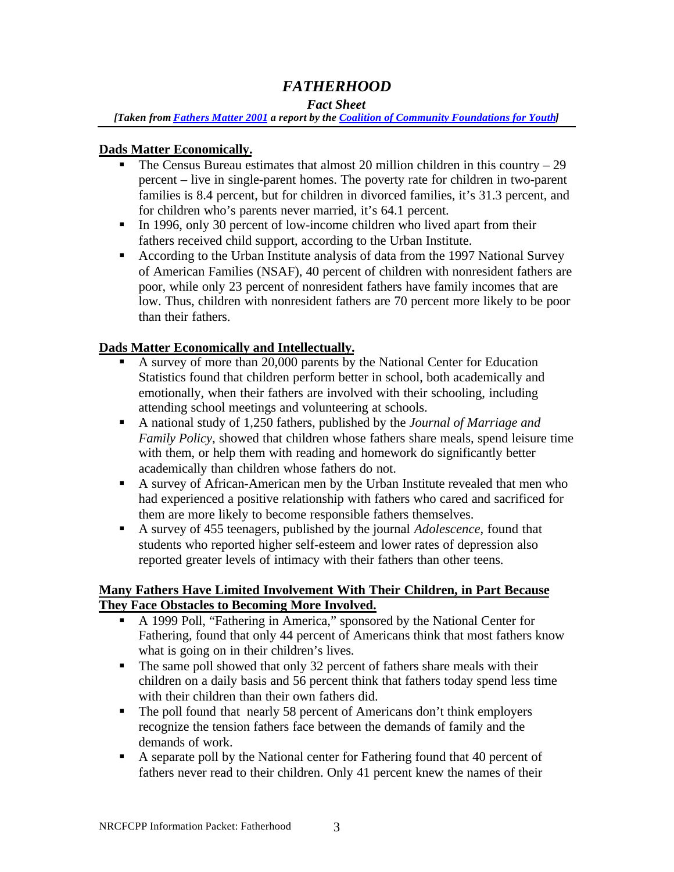# *FATHERHOOD*

## *Fact Sheet*

*[Taken from Fathers Matter 2001 a report by the Coalition of Community Foundations for Youth]*

## **Dads Matter Economically.**

- The Census Bureau estimates that almost 20 million children in this country  $-29$ percent – live in single-parent homes. The poverty rate for children in two-parent families is 8.4 percent, but for children in divorced families, it's 31.3 percent, and for children who's parents never married, it's 64.1 percent.
- In 1996, only 30 percent of low-income children who lived apart from their fathers received child support, according to the Urban Institute.
- According to the Urban Institute analysis of data from the 1997 National Survey of American Families (NSAF), 40 percent of children with nonresident fathers are poor, while only 23 percent of nonresident fathers have family incomes that are low. Thus, children with nonresident fathers are 70 percent more likely to be poor than their fathers.

## **Dads Matter Economically and Intellectually.**

- ß A survey of more than 20,000 parents by the National Center for Education Statistics found that children perform better in school, both academically and emotionally, when their fathers are involved with their schooling, including attending school meetings and volunteering at schools.
- A national study of 1,250 fathers, published by the *Journal of Marriage and Family Policy*, showed that children whose fathers share meals, spend leisure time with them, or help them with reading and homework do significantly better academically than children whose fathers do not.
- A survey of African-American men by the Urban Institute revealed that men who had experienced a positive relationship with fathers who cared and sacrificed for them are more likely to become responsible fathers themselves.
- A survey of 455 teenagers, published by the journal *Adolescence*, found that students who reported higher self-esteem and lower rates of depression also reported greater levels of intimacy with their fathers than other teens.

## **Many Fathers Have Limited Involvement With Their Children, in Part Because They Face Obstacles to Becoming More Involved.**

- A 1999 Poll, "Fathering in America," sponsored by the National Center for Fathering, found that only 44 percent of Americans think that most fathers know what is going on in their children's lives.
- $\blacksquare$  The same poll showed that only 32 percent of fathers share meals with their children on a daily basis and 56 percent think that fathers today spend less time with their children than their own fathers did.
- The poll found that nearly 58 percent of Americans don't think employers recognize the tension fathers face between the demands of family and the demands of work.
- A separate poll by the National center for Fathering found that 40 percent of fathers never read to their children. Only 41 percent knew the names of their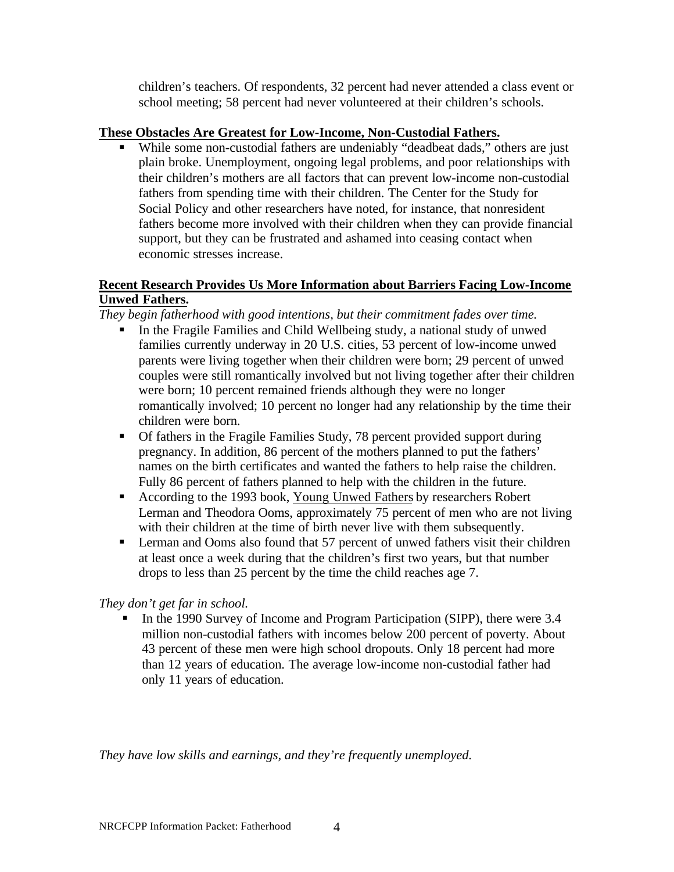children's teachers. Of respondents, 32 percent had never attended a class event or school meeting; 58 percent had never volunteered at their children's schools.

#### **These Obstacles Are Greatest for Low-Income, Non-Custodial Fathers.**

While some non-custodial fathers are undeniably "deadbeat dads," others are just plain broke. Unemployment, ongoing legal problems, and poor relationships with their children's mothers are all factors that can prevent low-income non-custodial fathers from spending time with their children. The Center for the Study for Social Policy and other researchers have noted, for instance, that nonresident fathers become more involved with their children when they can provide financial support, but they can be frustrated and ashamed into ceasing contact when economic stresses increase.

## **Recent Research Provides Us More Information about Barriers Facing Low-Income Unwed Fathers.**

*They begin fatherhood with good intentions, but their commitment fades over time.*

- In the Fragile Families and Child Wellbeing study, a national study of unwed families currently underway in 20 U.S. cities, 53 percent of low-income unwed parents were living together when their children were born; 29 percent of unwed couples were still romantically involved but not living together after their children were born; 10 percent remained friends although they were no longer romantically involved; 10 percent no longer had any relationship by the time their children were born.
- **Of fathers in the Fragile Families Study, 78 percent provided support during** pregnancy. In addition, 86 percent of the mothers planned to put the fathers' names on the birth certificates and wanted the fathers to help raise the children. Fully 86 percent of fathers planned to help with the children in the future.
- According to the 1993 book, Young Unwed Fathers by researchers Robert Lerman and Theodora Ooms, approximately 75 percent of men who are not living with their children at the time of birth never live with them subsequently.
- **Example 1** Lerman and Ooms also found that 57 percent of unwed fathers visit their children at least once a week during that the children's first two years, but that number drops to less than 25 percent by the time the child reaches age 7.

## *They don't get far in school.*

ß In the 1990 Survey of Income and Program Participation (SIPP), there were 3.4 million non-custodial fathers with incomes below 200 percent of poverty. About 43 percent of these men were high school dropouts. Only 18 percent had more than 12 years of education. The average low-income non-custodial father had only 11 years of education.

*They have low skills and earnings, and they're frequently unemployed.*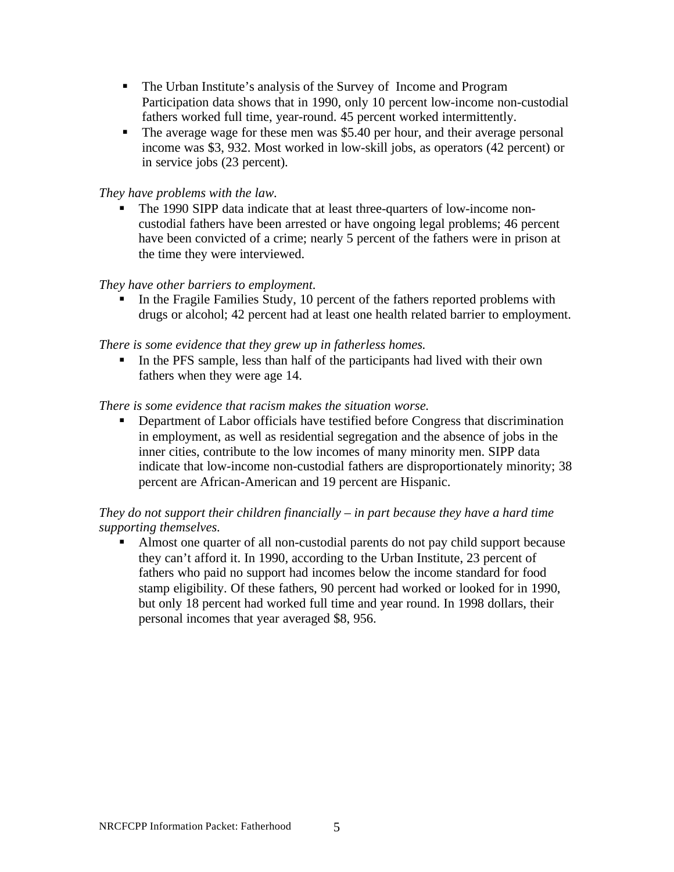- The Urban Institute's analysis of the Survey of Income and Program Participation data shows that in 1990, only 10 percent low-income non-custodial fathers worked full time, year-round. 45 percent worked intermittently.
- $\blacksquare$  The average wage for these men was \$5.40 per hour, and their average personal income was \$3, 932. Most worked in low-skill jobs, as operators (42 percent) or in service jobs (23 percent).

## *They have problems with the law.*

• The 1990 SIPP data indicate that at least three-quarters of low-income noncustodial fathers have been arrested or have ongoing legal problems; 46 percent have been convicted of a crime; nearly 5 percent of the fathers were in prison at the time they were interviewed.

## *They have other barriers to employment.*

ß In the Fragile Families Study, 10 percent of the fathers reported problems with drugs or alcohol; 42 percent had at least one health related barrier to employment.

*There is some evidence that they grew up in fatherless homes.*

In the PFS sample, less than half of the participants had lived with their own fathers when they were age 14.

## *There is some evidence that racism makes the situation worse.*

**•** Department of Labor officials have testified before Congress that discrimination in employment, as well as residential segregation and the absence of jobs in the inner cities, contribute to the low incomes of many minority men. SIPP data indicate that low-income non-custodial fathers are disproportionately minority; 38 percent are African-American and 19 percent are Hispanic.

## *They do not support their children financially – in part because they have a hard time supporting themselves.*

Almost one quarter of all non-custodial parents do not pay child support because they can't afford it. In 1990, according to the Urban Institute, 23 percent of fathers who paid no support had incomes below the income standard for food stamp eligibility. Of these fathers, 90 percent had worked or looked for in 1990, but only 18 percent had worked full time and year round. In 1998 dollars, their personal incomes that year averaged \$8, 956.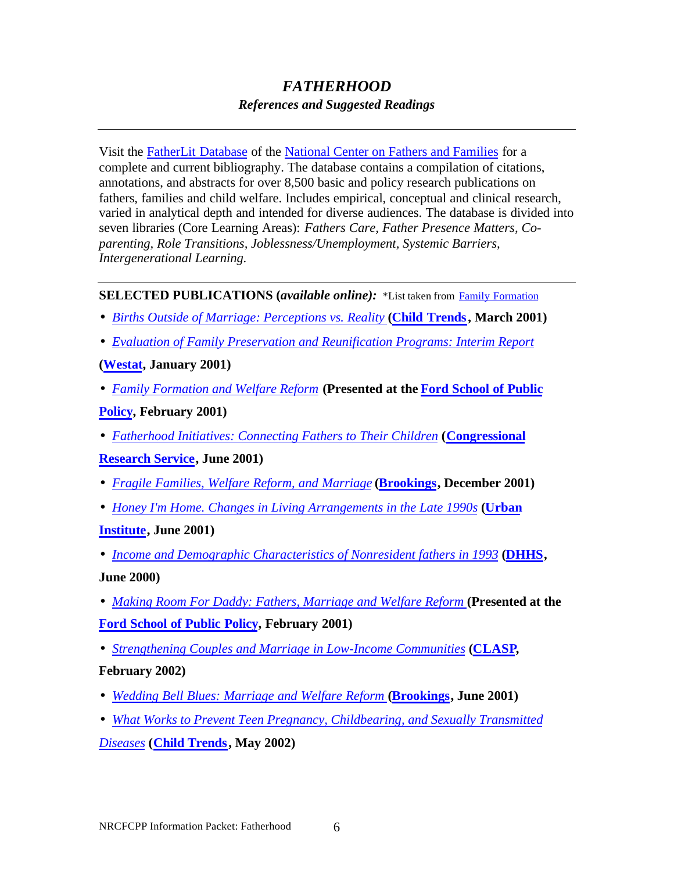# *FATHERHOOD References and Suggested Readings*

Visit the FatherLit Database of the National Center on Fathers and Families for a complete and current bibliography. The database contains a compilation of citations, annotations, and abstracts for over 8,500 basic and policy research publications on fathers, families and child welfare. Includes empirical, conceptual and clinical research, varied in analytical depth and intended for diverse audiences. The database is divided into seven libraries (Core Learning Areas): *Fathers Care, Father Presence Matters, Coparenting, Role Transitions, Joblessness/Unemployment, Systemic Barriers, Intergenerational Learning.*

## **SELECTED PUBLICATIONS (***available online):* \*List taken from Family Formation

- *Births Outside of Marriage: Perceptions vs. Reality* **(Child Trends, March 2001)**
- *Evaluation of Family Preservation and Reunification Programs: Interim Report*

## **(Westat, January 2001)**

• *Family Formation and Welfare Reform* **(Presented at the Ford School of Public**

## **Policy, February 2001)**

• *Fatherhood Initiatives: Connecting Fathers to Their Children* **(Congressional**

## **Research Service, June 2001)**

- *Fragile Families, Welfare Reform, and Marriage* **(Brookings, December 2001)**
- *Honey I'm Home. Changes in Living Arrangements in the Late 1990s* **(Urban**

## **Institute, June 2001)**

- *Income and Demographic Characteristics of Nonresident fathers in 1993* **(DHHS, June 2000)**
- *Making Room For Daddy: Fathers, Marriage and Welfare Reform* (Presented at the **Ford School of Public Policy, February 2001)**
- *Strengthening Couples and Marriage in Low-Income Communities* **(CLASP,**

## **February 2002)**

- *Wedding Bell Blues: Marriage and Welfare Reform* (Brookings, June 2001)
- *What Works to Prevent Teen Pregnancy, Childbearing, and Sexually Transmitted*

*Diseases* **(Child Trends, May 2002)**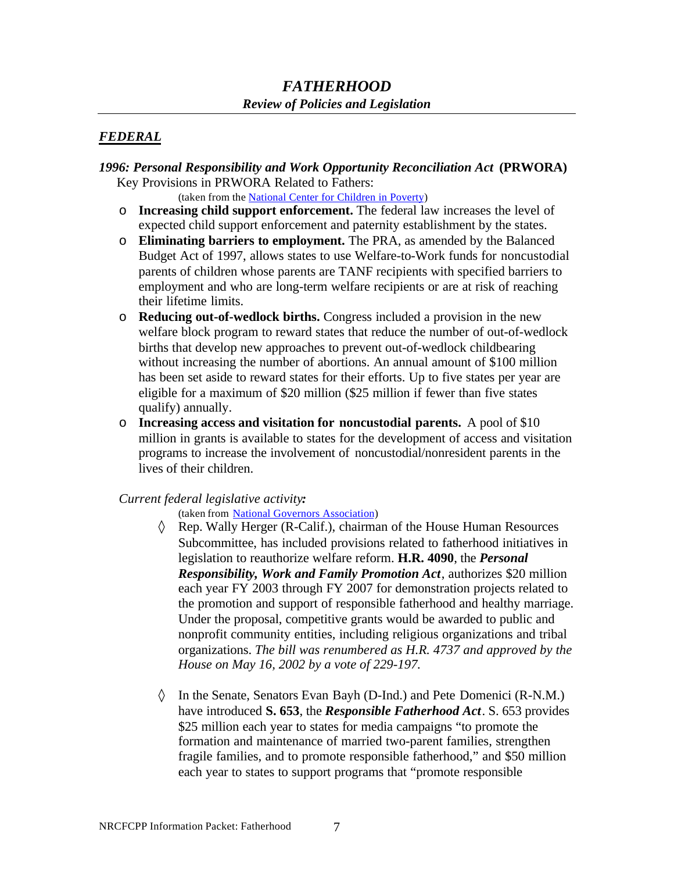# *FATHERHOOD Review of Policies and Legislation*

## *FEDERAL*

#### *1996: Personal Responsibility and Work Opportunity Reconciliation Act* **(PRWORA)** Key Provisions in PRWORA Related to Fathers:

(taken from the National Center for Children in Poverty)

- o **Increasing child support enforcement.** The federal law increases the level of expected child support enforcement and paternity establishment by the states.
- o **Eliminating barriers to employment.** The PRA, as amended by the Balanced Budget Act of 1997, allows states to use Welfare-to-Work funds for noncustodial parents of children whose parents are TANF recipients with specified barriers to employment and who are long-term welfare recipients or are at risk of reaching their lifetime limits.
- o **Reducing out-of-wedlock births.** Congress included a provision in the new welfare block program to reward states that reduce the number of out-of-wedlock births that develop new approaches to prevent out-of-wedlock childbearing without increasing the number of abortions. An annual amount of \$100 million has been set aside to reward states for their efforts. Up to five states per year are eligible for a maximum of \$20 million (\$25 million if fewer than five states qualify) annually.
- o **Increasing access and visitation for noncustodial parents.** A pool of \$10 million in grants is available to states for the development of access and visitation programs to increase the involvement of noncustodial/nonresident parents in the lives of their children.

#### *Current federal legislative activity:*

(taken from National Governors Association)

- ◊ Rep. Wally Herger (R-Calif.), chairman of the House Human Resources Subcommittee, has included provisions related to fatherhood initiatives in legislation to reauthorize welfare reform. **H.R. 4090**, the *Personal Responsibility, Work and Family Promotion Act*, authorizes \$20 million each year FY 2003 through FY 2007 for demonstration projects related to the promotion and support of responsible fatherhood and healthy marriage. Under the proposal, competitive grants would be awarded to public and nonprofit community entities, including religious organizations and tribal organizations. *The bill was renumbered as H.R. 4737 and approved by the House on May 16, 2002 by a vote of 229-197.*
- ◊ In the Senate, Senators Evan Bayh (D-Ind.) and Pete Domenici (R-N.M.) have introduced **S. 653**, the *Responsible Fatherhood Act*. S. 653 provides \$25 million each year to states for media campaigns "to promote the formation and maintenance of married two-parent families, strengthen fragile families, and to promote responsible fatherhood," and \$50 million each year to states to support programs that "promote responsible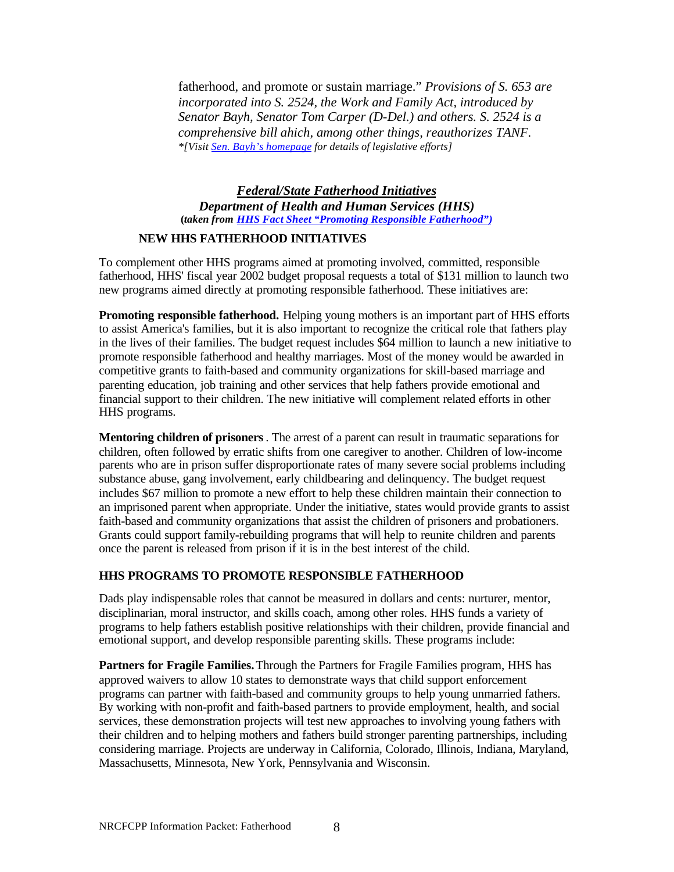fatherhood, and promote or sustain marriage." *Provisions of S. 653 are incorporated into S. 2524, the Work and Family Act, introduced by Senator Bayh, Senator Tom Carper (D-Del.) and others. S. 2524 is a comprehensive bill ahich, among other things, reauthorizes TANF. \*[Visit Sen. Bayh's homepage for details of legislative efforts]*

*Federal/State Fatherhood Initiatives Department of Health and Human Services (HHS)* **(***taken from HHS Fact Sheet "Promoting Responsible Fatherhood")*

#### **NEW HHS FATHERHOOD INITIATIVES**

To complement other HHS programs aimed at promoting involved, committed, responsible fatherhood, HHS' fiscal year 2002 budget proposal requests a total of \$131 million to launch two new programs aimed directly at promoting responsible fatherhood. These initiatives are:

**Promoting responsible fatherhood.** Helping young mothers is an important part of HHS efforts to assist America's families, but it is also important to recognize the critical role that fathers play in the lives of their families. The budget request includes \$64 million to launch a new initiative to promote responsible fatherhood and healthy marriages. Most of the money would be awarded in competitive grants to faith-based and community organizations for skill-based marriage and parenting education, job training and other services that help fathers provide emotional and financial support to their children. The new initiative will complement related efforts in other HHS programs.

**Mentoring children of prisoners**. The arrest of a parent can result in traumatic separations for children, often followed by erratic shifts from one caregiver to another. Children of low-income parents who are in prison suffer disproportionate rates of many severe social problems including substance abuse, gang involvement, early childbearing and delinquency. The budget request includes \$67 million to promote a new effort to help these children maintain their connection to an imprisoned parent when appropriate. Under the initiative, states would provide grants to assist faith-based and community organizations that assist the children of prisoners and probationers. Grants could support family-rebuilding programs that will help to reunite children and parents once the parent is released from prison if it is in the best interest of the child.

#### **HHS PROGRAMS TO PROMOTE RESPONSIBLE FATHERHOOD**

Dads play indispensable roles that cannot be measured in dollars and cents: nurturer, mentor, disciplinarian, moral instructor, and skills coach, among other roles. HHS funds a variety of programs to help fathers establish positive relationships with their children, provide financial and emotional support, and develop responsible parenting skills. These programs include:

**Partners for Fragile Families.** Through the Partners for Fragile Families program, HHS has approved waivers to allow 10 states to demonstrate ways that child support enforcement programs can partner with faith-based and community groups to help young unmarried fathers. By working with non-profit and faith-based partners to provide employment, health, and social services, these demonstration projects will test new approaches to involving young fathers with their children and to helping mothers and fathers build stronger parenting partnerships, including considering marriage. Projects are underway in California, Colorado, Illinois, Indiana, Maryland, Massachusetts, Minnesota, New York, Pennsylvania and Wisconsin.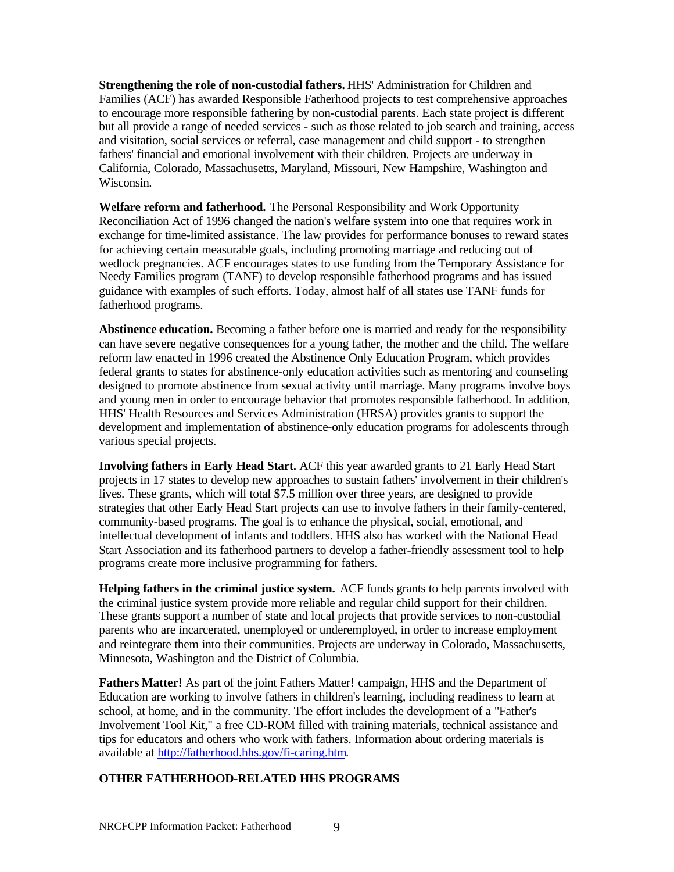**Strengthening the role of non-custodial fathers.** HHS' Administration for Children and Families (ACF) has awarded Responsible Fatherhood projects to test comprehensive approaches to encourage more responsible fathering by non-custodial parents. Each state project is different but all provide a range of needed services - such as those related to job search and training, access and visitation, social services or referral, case management and child support - to strengthen fathers' financial and emotional involvement with their children. Projects are underway in California, Colorado, Massachusetts, Maryland, Missouri, New Hampshire, Washington and Wisconsin.

**Welfare reform and fatherhood.** The Personal Responsibility and Work Opportunity Reconciliation Act of 1996 changed the nation's welfare system into one that requires work in exchange for time-limited assistance. The law provides for performance bonuses to reward states for achieving certain measurable goals, including promoting marriage and reducing out of wedlock pregnancies. ACF encourages states to use funding from the Temporary Assistance for Needy Families program (TANF) to develop responsible fatherhood programs and has issued guidance with examples of such efforts. Today, almost half of all states use TANF funds for fatherhood programs.

**Abstinence education.** Becoming a father before one is married and ready for the responsibility can have severe negative consequences for a young father, the mother and the child. The welfare reform law enacted in 1996 created the Abstinence Only Education Program, which provides federal grants to states for abstinence-only education activities such as mentoring and counseling designed to promote abstinence from sexual activity until marriage. Many programs involve boys and young men in order to encourage behavior that promotes responsible fatherhood. In addition, HHS' Health Resources and Services Administration (HRSA) provides grants to support the development and implementation of abstinence-only education programs for adolescents through various special projects.

**Involving fathers in Early Head Start.** ACF this year awarded grants to 21 Early Head Start projects in 17 states to develop new approaches to sustain fathers' involvement in their children's lives. These grants, which will total \$7.5 million over three years, are designed to provide strategies that other Early Head Start projects can use to involve fathers in their family-centered, community-based programs. The goal is to enhance the physical, social, emotional, and intellectual development of infants and toddlers. HHS also has worked with the National Head Start Association and its fatherhood partners to develop a father-friendly assessment tool to help programs create more inclusive programming for fathers.

**Helping fathers in the criminal justice system.** ACF funds grants to help parents involved with the criminal justice system provide more reliable and regular child support for their children. These grants support a number of state and local projects that provide services to non-custodial parents who are incarcerated, unemployed or underemployed, in order to increase employment and reintegrate them into their communities. Projects are underway in Colorado, Massachusetts, Minnesota, Washington and the District of Columbia.

**Fathers Matter!** As part of the joint Fathers Matter! campaign, HHS and the Department of Education are working to involve fathers in children's learning, including readiness to learn at school, at home, and in the community. The effort includes the development of a "Father's Involvement Tool Kit," a free CD-ROM filled with training materials, technical assistance and tips for educators and others who work with fathers. Information about ordering materials is available at [http://fatherhood.hhs.gov/fi-caring.htm.](http://fatherhood.hhs.gov/fi-caring.htm)

#### **OTHER FATHERHOOD-RELATED HHS PROGRAMS**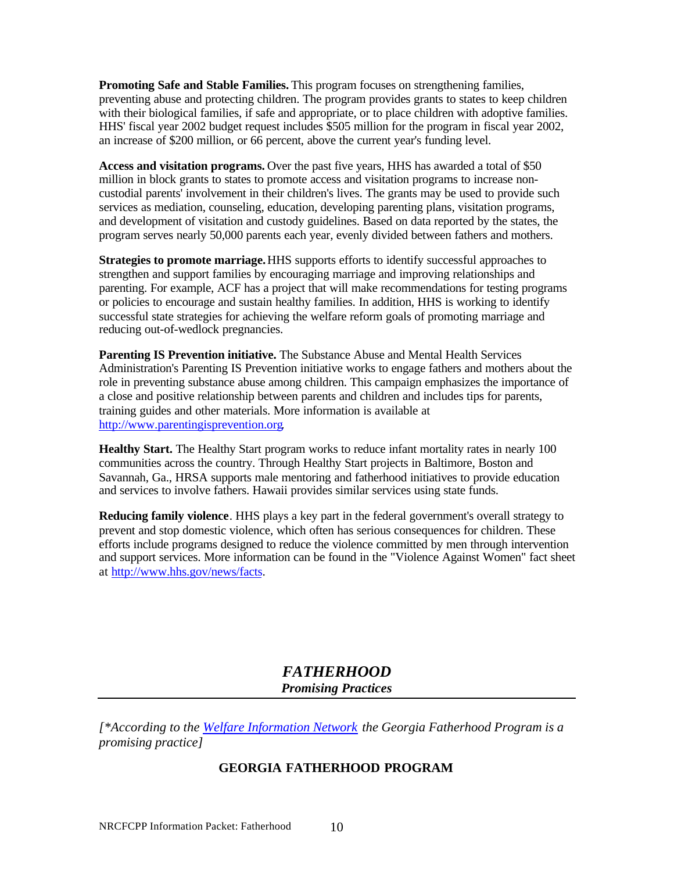**Promoting Safe and Stable Families.** This program focuses on strengthening families, preventing abuse and protecting children. The program provides grants to states to keep children with their biological families, if safe and appropriate, or to place children with adoptive families. HHS' fiscal year 2002 budget request includes \$505 million for the program in fiscal year 2002, an increase of \$200 million, or 66 percent, above the current year's funding level.

**Access and visitation programs.** Over the past five years, HHS has awarded a total of \$50 million in block grants to states to promote access and visitation programs to increase noncustodial parents' involvement in their children's lives. The grants may be used to provide such services as mediation, counseling, education, developing parenting plans, visitation programs, and development of visitation and custody guidelines. Based on data reported by the states, the program serves nearly 50,000 parents each year, evenly divided between fathers and mothers.

**Strategies to promote marriage.** HHS supports efforts to identify successful approaches to strengthen and support families by encouraging marriage and improving relationships and parenting. For example, ACF has a project that will make recommendations for testing programs or policies to encourage and sustain healthy families. In addition, HHS is working to identify successful state strategies for achieving the welfare reform goals of promoting marriage and reducing out-of-wedlock pregnancies.

**Parenting IS Prevention initiative.** The Substance Abuse and Mental Health Services Administration's Parenting IS Prevention initiative works to engage fathers and mothers about the role in preventing substance abuse among children. This campaign emphasizes the importance of a close and positive relationship between parents and children and includes tips for parents, training guides and other materials. More information is available at [http://www.parentingisprevention.org.](http://www.parentingisprevention.org)

**Healthy Start.** The Healthy Start program works to reduce infant mortality rates in nearly 100 communities across the country. Through Healthy Start projects in Baltimore, Boston and Savannah, Ga., HRSA supports male mentoring and fatherhood initiatives to provide education and services to involve fathers. Hawaii provides similar services using state funds.

**Reducing family violence**. HHS plays a key part in the federal government's overall strategy to prevent and stop domestic violence, which often has serious consequences for children. These efforts include programs designed to reduce the violence committed by men through intervention and support services. More information can be found in the "Violence Against Women" fact sheet at [http://www.hhs.gov/news/facts.](http://www.hhs.gov/news/facts)

## *FATHERHOOD Promising Practices*

*[\*According to the Welfare Information Network the Georgia Fatherhood Program is a promising practice]*

## **GEORGIA FATHERHOOD PROGRAM**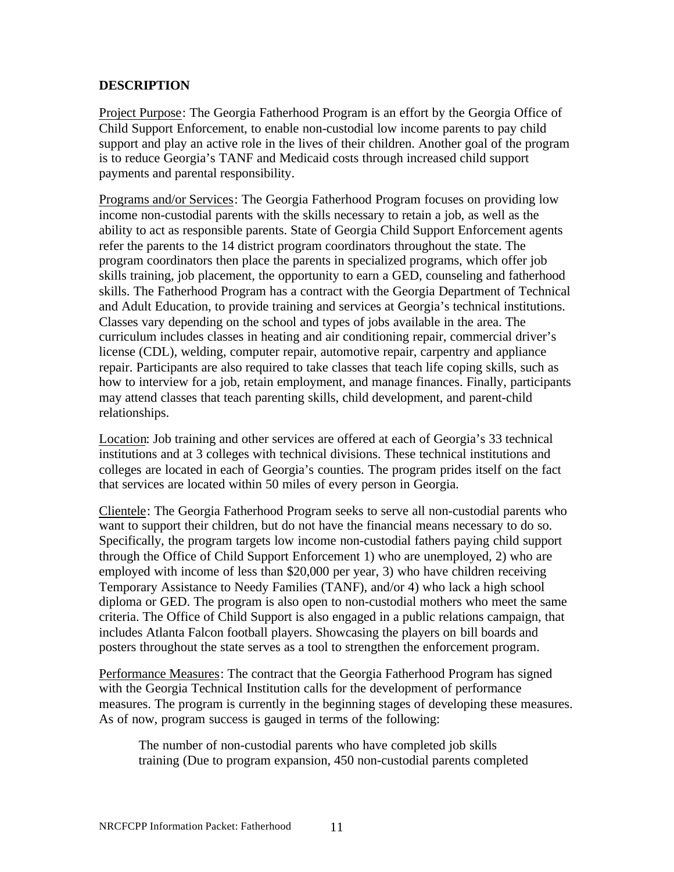## **DESCRIPTION**

Project Purpose: The Georgia Fatherhood Program is an effort by the Georgia Office of Child Support Enforcement, to enable non-custodial low income parents to pay child support and play an active role in the lives of their children. Another goal of the program is to reduce Georgia's TANF and Medicaid costs through increased child support payments and parental responsibility.

Programs and/or Services: The Georgia Fatherhood Program focuses on providing low income non-custodial parents with the skills necessary to retain a job, as well as the ability to act as responsible parents. State of Georgia Child Support Enforcement agents refer the parents to the 14 district program coordinators throughout the state. The program coordinators then place the parents in specialized programs, which offer job skills training, job placement, the opportunity to earn a GED, counseling and fatherhood skills. The Fatherhood Program has a contract with the Georgia Department of Technical and Adult Education, to provide training and services at Georgia's technical institutions. Classes vary depending on the school and types of jobs available in the area. The curriculum includes classes in heating and air conditioning repair, commercial driver's license (CDL), welding, computer repair, automotive repair, carpentry and appliance repair. Participants are also required to take classes that teach life coping skills, such as how to interview for a job, retain employment, and manage finances. Finally, participants may attend classes that teach parenting skills, child development, and parent-child relationships.

Location: Job training and other services are offered at each of Georgia's 33 technical institutions and at 3 colleges with technical divisions. These technical institutions and colleges are located in each of Georgia's counties. The program prides itself on the fact that services are located within 50 miles of every person in Georgia.

Clientele: The Georgia Fatherhood Program seeks to serve all non-custodial parents who want to support their children, but do not have the financial means necessary to do so. Specifically, the program targets low income non-custodial fathers paying child support through the Office of Child Support Enforcement 1) who are unemployed, 2) who are employed with income of less than \$20,000 per year, 3) who have children receiving Temporary Assistance to Needy Families (TANF), and/or 4) who lack a high school diploma or GED. The program is also open to non-custodial mothers who meet the same criteria. The Office of Child Support is also engaged in a public relations campaign, that includes Atlanta Falcon football players. Showcasing the players on bill boards and posters throughout the state serves as a tool to strengthen the enforcement program.

Performance Measures: The contract that the Georgia Fatherhood Program has signed with the Georgia Technical Institution calls for the development of performance measures. The program is currently in the beginning stages of developing these measures. As of now, program success is gauged in terms of the following:

The number of non-custodial parents who have completed job skills training (Due to program expansion, 450 non-custodial parents completed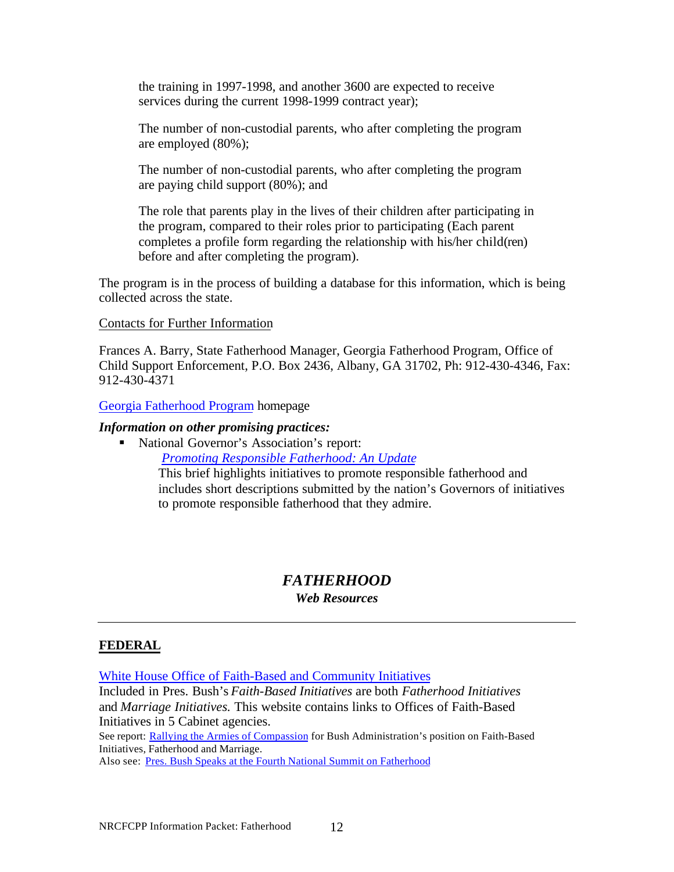the training in 1997-1998, and another 3600 are expected to receive services during the current 1998-1999 contract year);

The number of non-custodial parents, who after completing the program are employed (80%);

The number of non-custodial parents, who after completing the program are paying child support (80%); and

The role that parents play in the lives of their children after participating in the program, compared to their roles prior to participating (Each parent completes a profile form regarding the relationship with his/her child(ren) before and after completing the program).

The program is in the process of building a database for this information, which is being collected across the state.

#### Contacts for Further Information

Frances A. Barry, State Fatherhood Manager, Georgia Fatherhood Program, Office of Child Support Enforcement, P.O. Box 2436, Albany, GA 31702, Ph: 912-430-4346, Fax: 912-430-4371

Georgia Fatherhood Program homepage

#### *Information on other promising practices:*

■ National Governor's Association's report:

*Promoting Responsible Fatherhood: An Update*

This brief highlights initiatives to promote responsible fatherhood and includes short descriptions submitted by the nation's Governors of initiatives to promote responsible fatherhood that they admire.

## *FATHERHOOD*

#### *Web Resources*

#### **FEDERAL**

White House Office of Faith-Based and Community Initiatives

Included in Pres. Bush's *Faith-Based Initiatives* are both *Fatherhood Initiatives* and *Marriage Initiatives.* This website contains links to Offices of Faith-Based Initiatives in 5 Cabinet agencies.

See report: Rallying the Armies of Compassion for Bush Administration's position on Faith-Based Initiatives, Fatherhood and Marriage.

Also see: Pres. Bush Speaks at the Fourth National Summit on Fatherhood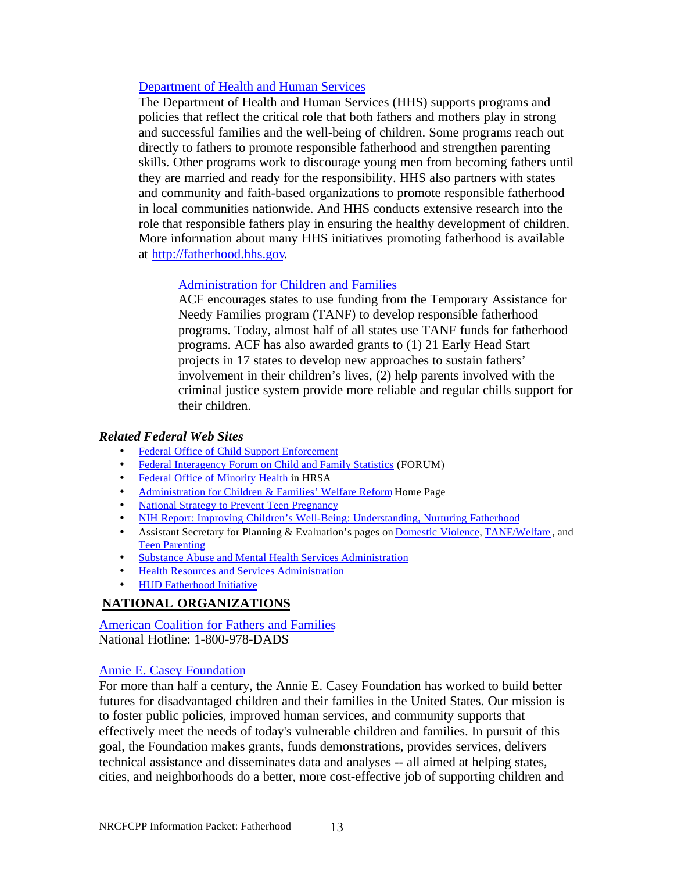#### Department of Health and Human Services

The Department of Health and Human Services (HHS) supports programs and policies that reflect the critical role that both fathers and mothers play in strong and successful families and the well-being of children. Some programs reach out directly to fathers to promote responsible fatherhood and strengthen parenting skills. Other programs work to discourage young men from becoming fathers until they are married and ready for the responsibility. HHS also partners with states and community and faith-based organizations to promote responsible fatherhood in local communities nationwide. And HHS conducts extensive research into the role that responsible fathers play in ensuring the healthy development of children. More information about many HHS initiatives promoting fatherhood is available at [http://fatherhood.hhs.gov.](http://fatherhood.hhs.gov)

## Administration for Children and Families

ACF encourages states to use funding from the Temporary Assistance for Needy Families program (TANF) to develop responsible fatherhood programs. Today, almost half of all states use TANF funds for fatherhood programs. ACF has also awarded grants to (1) 21 Early Head Start projects in 17 states to develop new approaches to sustain fathers' involvement in their children's lives, (2) help parents involved with the criminal justice system provide more reliable and regular chills support for their children.

#### *Related Federal Web Sites*

- Federal Office of Child Support Enforcement
- Federal Interagency Forum on Child and Family Statistics (FORUM)
- Federal Office of Minority Health in HRSA
- Administration for Children & Families' Welfare Reform Home Page
- National Strategy to Prevent Teen Pregnancy
- NIH Report: Improving Children's Well-Being: Understanding, Nurturing Fatherhood
- Assistant Secretary for Planning & Evaluation's pages on Domestic Violence, TANF/Welfare , and Teen Parenting
- Substance Abuse and Mental Health Services Administration
- Health Resources and Services Administration
- HUD Fatherhood Initiative

## **NATIONAL ORGANIZATIONS**

American Coalition for Fathers and Families National Hotline: 1-800-978-DADS

#### Annie E. Casey Foundation

For more than half a century, the Annie E. Casey Foundation has worked to build better futures for disadvantaged children and their families in the United States. Our mission is to foster public policies, improved human services, and community supports that effectively meet the needs of today's vulnerable children and families. In pursuit of this goal, the Foundation makes grants, funds demonstrations, provides services, delivers technical assistance and disseminates data and analyses -- all aimed at helping states, cities, and neighborhoods do a better, more cost-effective job of supporting children and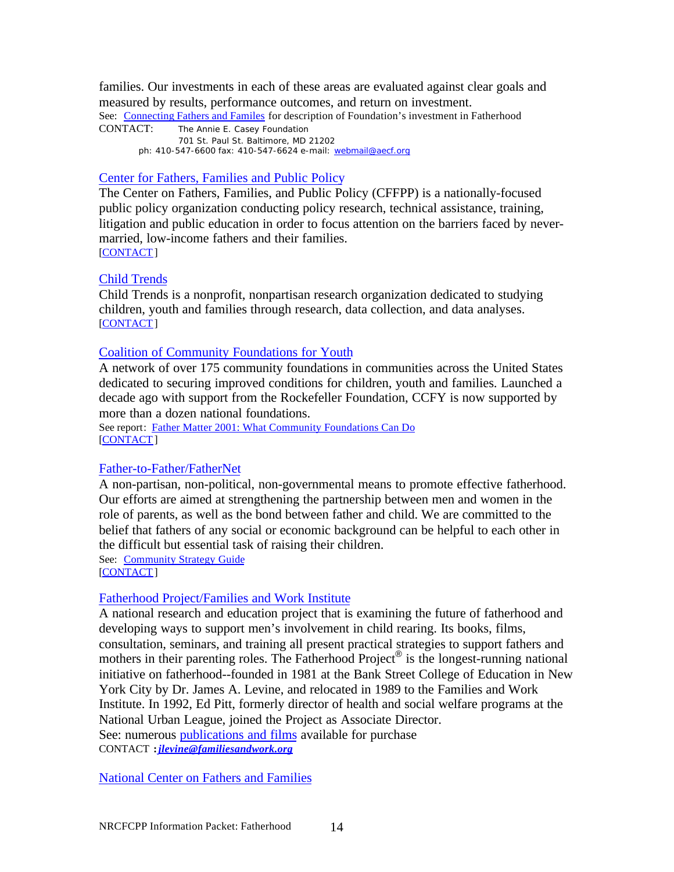families. Our investments in each of these areas are evaluated against clear goals and measured by results, performance outcomes, and return on investment. See: Connecting Fathers and Familes for description of Foundation's investment in Fatherhood CONTACT: The Annie E. Casey Foundation 701 St. Paul St. Baltimore, MD 21202

ph: 410-547-6600 fax: 410-547-6624 e-mail: webmail@aecf.org

## Center for Fathers, Families and Public Policy

The Center on Fathers, Families, and Public Policy (CFFPP) is a nationally-focused public policy organization conducting policy research, technical assistance, training, litigation and public education in order to focus attention on the barriers faced by nevermarried, low-income fathers and their families. [CONTACT]

## Child Trends

Child Trends is a nonprofit, nonpartisan research organization dedicated to studying children, youth and families through research, data collection, and data analyses. [CONTACT]

## Coalition of Community Foundations for Youth

A network of over 175 community foundations in communities across the United States dedicated to securing improved conditions for children, youth and families. Launched a decade ago with support from the Rockefeller Foundation, CCFY is now supported by more than a dozen national foundations.

See report: Father Matter 2001: What Community Foundations Can Do [CONTACT]

## Father-to-Father/FatherNet

A non-partisan, non-political, non-governmental means to promote effective fatherhood. Our efforts are aimed at strengthening the partnership between men and women in the role of parents, as well as the bond between father and child. We are committed to the belief that fathers of any social or economic background can be helpful to each other in the difficult but essential task of raising their children. See: Community Strategy Guide

[CONTACT]

## Fatherhood Project/Families and Work Institute

A national research and education project that is examining the future of fatherhood and developing ways to support men's involvement in child rearing. Its books, films, consultation, seminars, and training all present practical strategies to support fathers and mothers in their parenting roles. The Fatherhood Project® is the longest-running national initiative on fatherhood--founded in 1981 at the Bank Street College of Education in New York City by Dr. James A. Levine, and relocated in 1989 to the Families and Work Institute. In 1992, Ed Pitt, formerly director of health and social welfare programs at the National Urban League, joined the Project as Associate Director. See: numerous publications and films available for purchase CONTACT **:***jlevine@familiesandwork.org*

National Center on Fathers and Families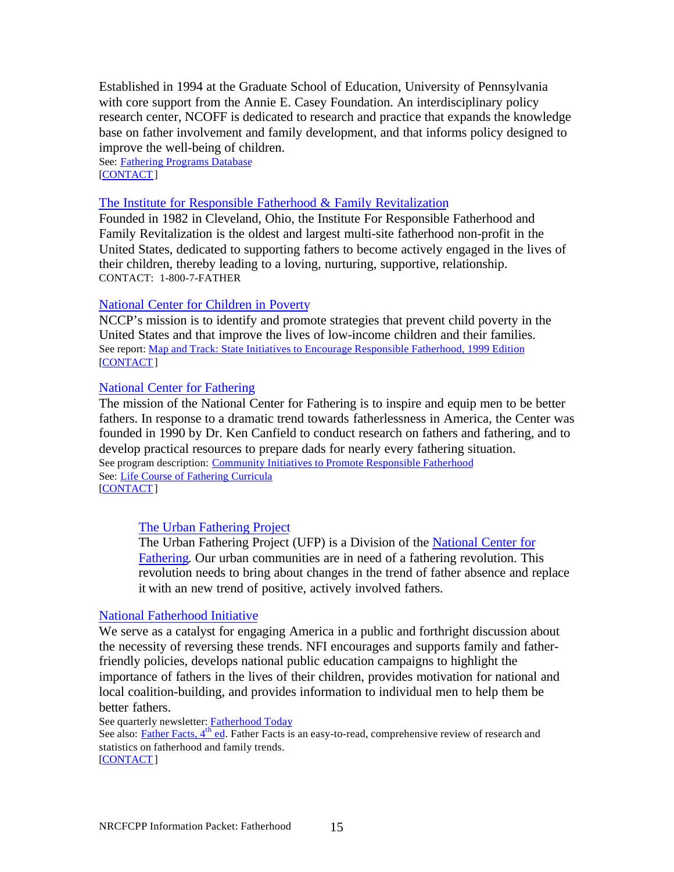Established in 1994 at the Graduate School of Education, University of Pennsylvania with core support from the Annie E. Casey Foundation. An interdisciplinary policy research center, NCOFF is dedicated to research and practice that expands the knowledge base on father involvement and family development, and that informs policy designed to improve the well-being of children.

See: Fathering Programs Database [CONTACT]

#### The Institute for Responsible Fatherhood & Family Revitalization

Founded in 1982 in Cleveland, Ohio, the Institute For Responsible Fatherhood and Family Revitalization is the oldest and largest multi-site fatherhood non-profit in the United States, dedicated to supporting fathers to become actively engaged in the lives of their children, thereby leading to a loving, nurturing, supportive, relationship. CONTACT: 1-800-7-FATHER

#### National Center for Children in Poverty

NCCP's mission is to identify and promote strategies that prevent child poverty in the United States and that improve the lives of low-income children and their families. See report: Map and Track: State Initiatives to Encourage Responsible Fatherhood, 1999 Edition [CONTACT]

#### National Center for Fathering

The mission of the National Center for Fathering is to inspire and equip men to be better fathers. In response to a dramatic trend towards fatherlessness in America, the Center was founded in 1990 by Dr. Ken Canfield to conduct research on fathers and fathering, and to develop practical resources to prepare dads for nearly every fathering situation. See program description: Community Initiatives to Promote Responsible Fatherhood See: Life Course of Fathering Curricula [CONTACT]

#### The Urban Fathering Project

The Urban Fathering Project (UFP) is a Division of the National Center for Fathering. Our urban communities are in need of a fathering revolution. This revolution needs to bring about changes in the trend of father absence and replace it with an new trend of positive, actively involved fathers.

#### National Fatherhood Initiative

We serve as a catalyst for engaging America in a public and forthright discussion about the necessity of reversing these trends. NFI encourages and supports family and fatherfriendly policies, develops national public education campaigns to highlight the importance of fathers in the lives of their children, provides motivation for national and local coalition-building, and provides information to individual men to help them be better fathers.

See quarterly newsletter: Fatherhood Today

See also: Father Facts, 4<sup>th</sup> ed. Father Facts is an easy-to-read, comprehensive review of research and statistics on fatherhood and family trends. [CONTACT]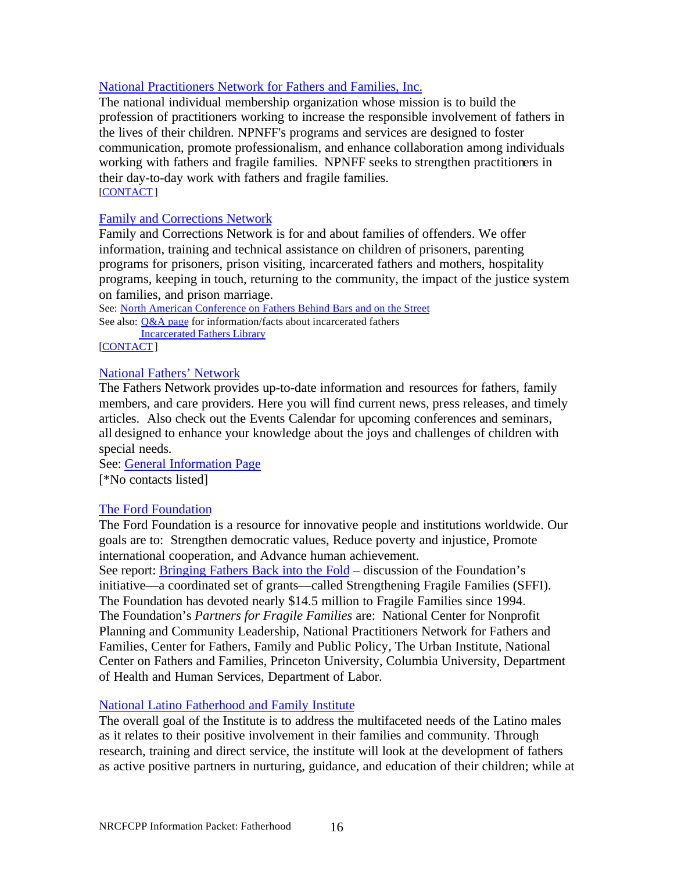#### National Practitioners Network for Fathers and Families, Inc.

The national individual membership organization whose mission is to build the profession of practitioners working to increase the responsible involvement of fathers in the lives of their children. NPNFF's programs and services are designed to foster communication, promote professionalism, and enhance collaboration among individuals working with fathers and fragile families. NPNFF seeks to strengthen practitioners in their day-to-day work with fathers and fragile families. [CONTACT]

#### Family and Corrections Network

Family and Corrections Network is for and about families of offenders. We offer information, training and technical assistance on children of prisoners, parenting programs for prisoners, prison visiting, incarcerated fathers and mothers, hospitality programs, keeping in touch, returning to the community, the impact of the justice system on families, and prison marriage.

See: North American Conference on Fathers Behind Bars and on the Street See also: Q&A page for information/facts about incarcerated fathers Incarcerated Fathers Library

[CONTACT]

## National Fathers' Network

The Fathers Network provides up-to-date information and resources for fathers, family members, and care providers. Here you will find current news, press releases, and timely articles. Also check out the Events Calendar for upcoming conferences and seminars, all designed to enhance your knowledge about the joys and challenges of children with special needs.

See: General Information Page [\*No contacts listed]

#### The Ford Foundation

The Ford Foundation is a resource for innovative people and institutions worldwide. Our goals are to: Strengthen democratic values, Reduce poverty and injustice, Promote international cooperation, and Advance human achievement.

See report: Bringing Fathers Back into the Fold – discussion of the Foundation's initiative—a coordinated set of grants—called Strengthening Fragile Families (SFFI). The Foundation has devoted nearly \$14.5 million to Fragile Families since 1994. The Foundation's *Partners for Fragile Families* are: National Center for Nonprofit Planning and Community Leadership, National Practitioners Network for Fathers and Families, Center for Fathers, Family and Public Policy, The Urban Institute, National Center on Fathers and Families, Princeton University, Columbia University, Department of Health and Human Services, Department of Labor.

#### National Latino Fatherhood and Family Institute

The overall goal of the Institute is to address the multifaceted needs of the Latino males as it relates to their positive involvement in their families and community. Through research, training and direct service, the institute will look at the development of fathers as active positive partners in nurturing, guidance, and education of their children; while at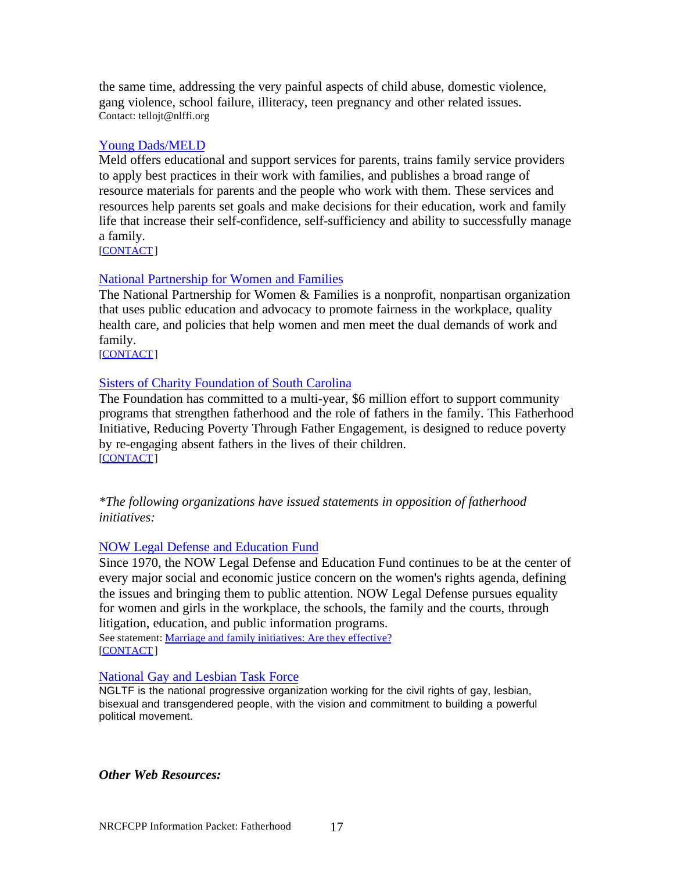the same time, addressing the very painful aspects of child abuse, domestic violence, gang violence, school failure, illiteracy, teen pregnancy and other related issues. Contact: tellojt@nlffi.org

#### Young Dads/MELD

Meld offers educational and support services for parents, trains family service providers to apply best practices in their work with families, and publishes a broad range of resource materials for parents and the people who work with them. These services and resources help parents set goals and make decisions for their education, work and family life that increase their self-confidence, self-sufficiency and ability to successfully manage a family.

[CONTACT]

#### National Partnership for Women and Families

The National Partnership for Women & Families is a nonprofit, nonpartisan organization that uses public education and advocacy to promote fairness in the workplace, quality health care, and policies that help women and men meet the dual demands of work and family.

[CONTACT]

## Sisters of Charity Foundation of South Carolina

The Foundation has committed to a multi-year, \$6 million effort to support community programs that strengthen fatherhood and the role of fathers in the family. This Fatherhood Initiative, Reducing Poverty Through Father Engagement, is designed to reduce poverty by re-engaging absent fathers in the lives of their children. [CONTACT]

*\*The following organizations have issued statements in opposition of fatherhood initiatives:*

#### NOW Legal Defense and Education Fund

Since 1970, the NOW Legal Defense and Education Fund continues to be at the center of every major social and economic justice concern on the women's rights agenda, defining the issues and bringing them to public attention. NOW Legal Defense pursues equality for women and girls in the workplace, the schools, the family and the courts, through litigation, education, and public information programs.

See statement: Marriage and family initiatives: Are they effective? [CONTACT]

#### National Gay and Lesbian Task Force

NGLTF is the national progressive organization working for the civil rights of gay, lesbian, bisexual and transgendered people, with the vision and commitment to building a powerful political movement.

*Other Web Resources:*